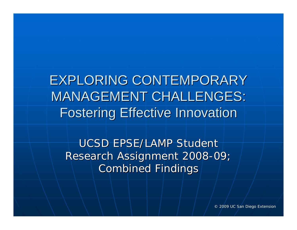**EXPLORING CONTEMPORARY MANAGEMENT CHALLENGES: Fostering Effective Innovation** 

UCSD EPSE/LAMP Student Research Assignment 2008-09; **Combined Findings** 

© 2009 UC San Diego Extension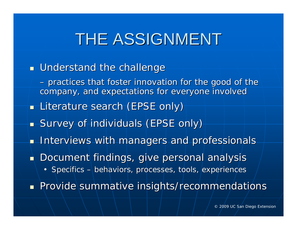### THE ASSIGNMENT

- $\blacksquare$  Understand the challenge
	- *practices that foster innovation for the good of the practices that foster innovation for the good of the company, and expectations for everyone involved company, and expectations for everyone involved*
- **Literature search (EPSE only)**
- **S**urvey of individuals (EPSE only)
- $\blacksquare$  Interviews with managers and professionals
- $\blacksquare$  Document findings, give personal analysis
	- Specifics  $-$  behaviors, processes, tools, experiences

Provide summative insights/recommendations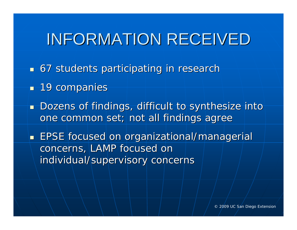### INFORMATION RECEIVED

- 67 students participating in research 67 students participating in research
- $\blacksquare$  19 companies $\blacksquare$
- $\blacksquare$  Dozens of findings, difficult to synthesize into  $\blacksquare$ one common set; not all findings agree
- **EPSE** focused on organizational/managerial concerns, LAMP focused on individual/supervisory concerns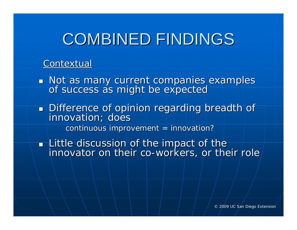#### **Contextual**

 $\mathbb{R}^2$ Not as many current companies examples (Not as many current companies examples<br>The success as might be expected

 $\mathbb{R}^2$ Difference of opinion regarding breadth of Difference of opinion regarding breadth of  $control$  continuous improvement = innovation?

**The Little discussion of the impact of the** Little discussion of the impact of the Little discussion of the impact of the innovator on their co innovator on their co -workers, or their role workers, or their role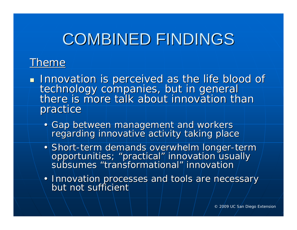### Theme

- $\mathbb{R}^2$ Innovation is perceived as the life blood of<br>technology companies, but in general<br>there is more talk about innovation than there is more talk about innovation than practice
	- Gap between management and workers<br>regarding innovative activity taking place
	- Short-term demands overwhelm longer-term opportunities; "practical" innovation usually<br>subsumes "transformational" innovation / " innovation
	- Innovation processes and tools are necessary<br>but not sufficient but not sufficient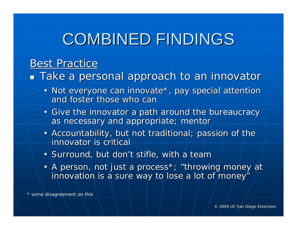### **Best Practice**

 $\blacksquare$  Take a personal approach to an innovator

- Not everyone can innovate\*, pay special attention and foster those who can
- Give the innovator a path around the bureaucracy as necessary and appropriate; mentor
- Accountability, but not traditional; passion of the innovator is critical
- Surround, but don't stifle, with a team
- A person, not just a process\*; "throwing money at innovation is a sure way to lose a lot of money"

\* some disagreement on this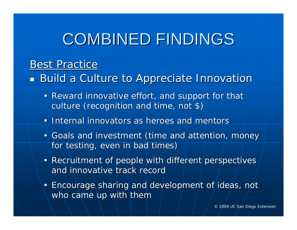### **Best Practice**

**Build a Culture to** *Appreciate* **Innovation A** 

- Reward innovative effort, and support for that culture (recognition and time, not \$)
- Internal innovators as heroes and mentors
- Goals and investment (time and attention, money for testing, even in bad times)
- Recruitment of people with different perspectives and innovative track record
- Encourage sharing and development of ideas, not who came up with them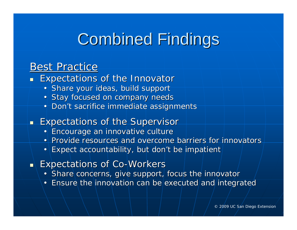### **Combined Findings**

#### **Best Practice**

- $\overline{\phantom{0}}$  Expectations of the Innovator Expectations of the Innovator
	- Share your ideas, build support
	- Stay focused on company needs
	- Don't sacrifice immediate assignments
- $\blacksquare$  Expectations of the Supervisor
	- Encourage an innovative culture
	- Provide resources and overcome barriers for innovators
	- •Expect accountability, but don't be impatient
- **Reference Co-Workers Expectations of Co-Workers** 
	- Share concerns, give support, focus the innovator
	- Ensure the innovation can be executed and integrated